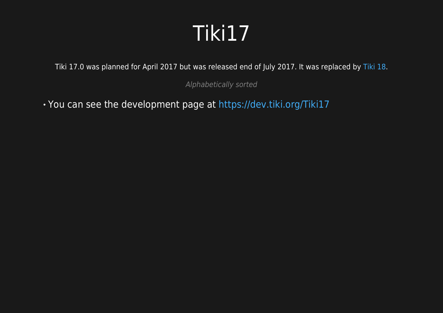#### Tiki17

Tiki 17.0 was planned for April 2017 but was released end of July 2017. It was replaced by [Tiki 18](https://doc.tiki.org/Tiki%2018).

Alphabetically sorted

You can see the development page at <https://dev.tiki.org/Tiki17>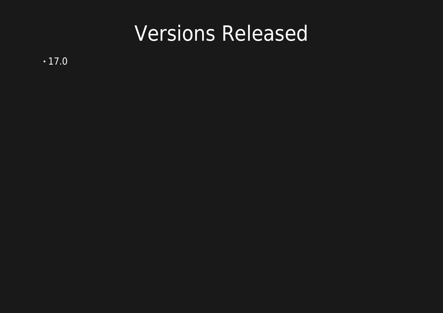#### Versions Released

 $\cdot$ 17.0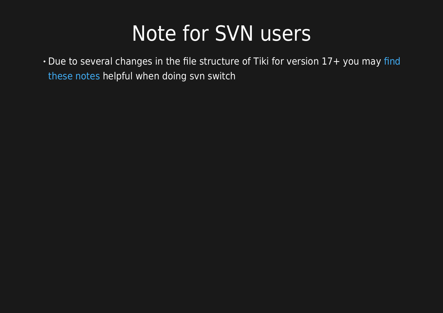#### Note for SVN users

. Due to several changes in the file structure of Tiki for version 17+ you may [find](https://dev.tiki.org/svn+tips#Important_note_for_switching_between_16.x_and_17.x) [these notes](https://dev.tiki.org/svn+tips#Important_note_for_switching_between_16.x_and_17.x) helpful when doing svn switch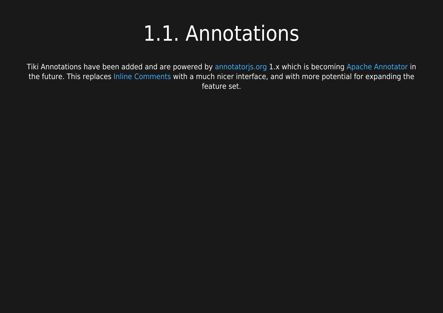#### 1.1. Annotations

Tiki Annotations have been added and are powered by [annotatorjs.org](http://annotatorjs.org/) 1.x which is becoming [Apache Annotator](https://annotator.apache.org/) in the future. This replaces [Inline Comments](https://doc.tiki.org/Inline-comments) with a much nicer interface, and with more potential for expanding the feature set.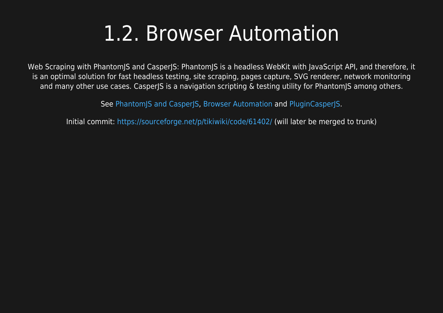#### 1.2. Browser Automation

Web Scraping with PhantomJS and CasperJS: PhantomJS is a headless WebKit with JavaScript API, and therefore, it is an optimal solution for fast headless testing, site scraping, pages capture, SVG renderer, network monitoring and many other use cases. CasperJS is a navigation scripting & testing utility for PhantomJS among others.

See [PhantomJS and CasperJS](https://doc.tiki.org/PhantomJS-and-CasperJS), [Browser Automation](https://doc.tiki.org/Browser-Automation) and [PluginCasperJS](https://doc.tiki.org/PluginCasperJS).

Initial commit: <https://sourceforge.net/p/tikiwiki/code/61402/> (will later be merged to trunk)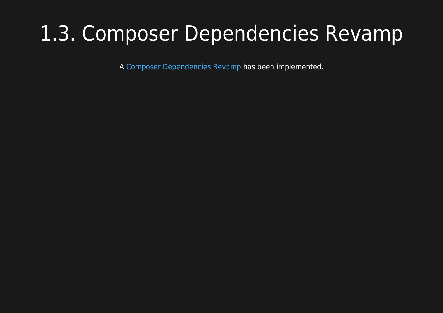## 1.3. Composer Dependencies Revamp

A [Composer Dependencies Revamp](http://dev.tiki.org/Composer%20Dependencies%20Revamp) has been implemented.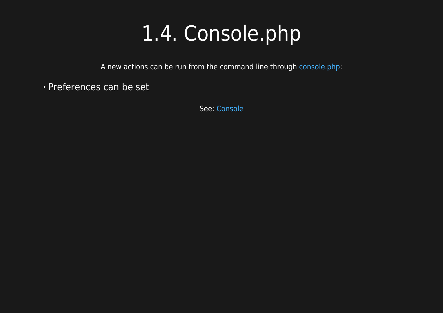## 1.4. Console.php

A new actions can be run from the command line through [console.php](https://doc.tiki.org/Console):

Preferences can be set

See: [Console](https://doc.tiki.org/Console)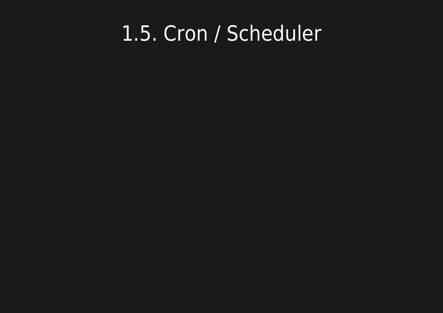#### 1.5. Cron / Scheduler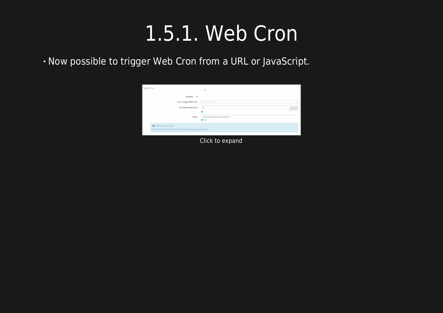## 1.5.1. Web Cron

Now possible to trigger Web Cron from a URL or JavaScript.



Click to expand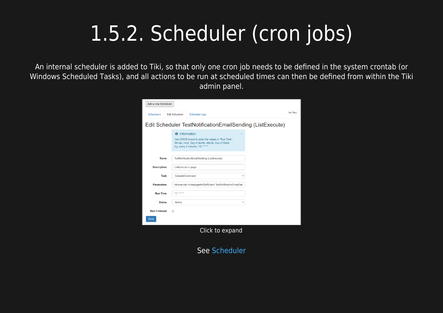# 1.5.2. Scheduler (cron jobs)

An internal scheduler is added to Tiki, so that only one cron job needs to be defined in the system crontab (or Windows Scheduled Tasks), and all actions to be run at scheduled times can then be defined from within the Tiki admin panel.



See [Scheduler](https://doc.tiki.org/Scheduler)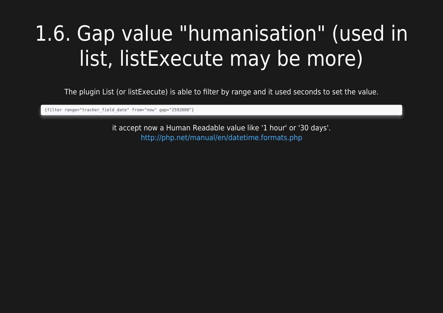# 1.6. Gap value "humanisation" (used in list, listExecute may be more)

The plugin List (or listExecute) is able to filter by range and it used seconds to set the value.

{filter range="tracker\_field\_date" from="now" gap="2592000"}

it accept now a Human Readable value like '1 hour' or '30 days'. <http://php.net/manual/en/datetime.formats.php>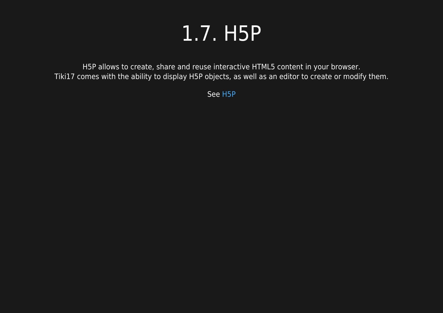#### 1.7. H5P

H5P allows to create, share and reuse interactive HTML5 content in your browser. Tiki17 comes with the ability to display H5P objects, as well as an editor to create or modify them.

See [H5P](https://doc.tiki.org/H5P)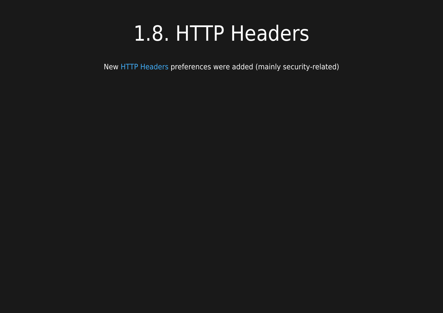#### 1.8. HTTP Headers

New [HTTP Headers](https://doc.tiki.org/HTTP-Headers) preferences were added (mainly security-related)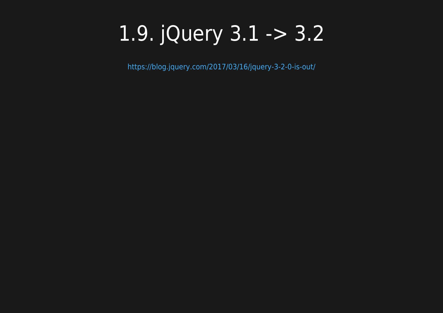## 1.9. jQuery 3.1 -> 3.2

<https://blog.jquery.com/2017/03/16/jquery-3-2-0-is-out/>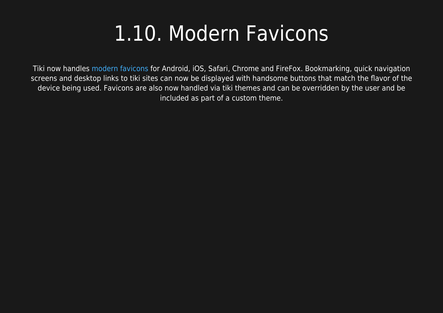## 1.10. Modern Favicons

Tiki now handles [modern favicons](https://doc.tiki.org/Favicon) for Android, iOS, Safari, Chrome and FireFox. Bookmarking, quick navigation screens and desktop links to tiki sites can now be displayed with handsome buttons that match the flavor of the device being used. Favicons are also now handled via tiki themes and can be overridden by the user and be included as part of a custom theme.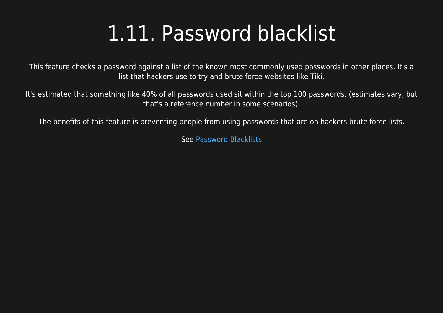## 1.11. Password blacklist

This feature checks a password against a list of the known most commonly used passwords in other places. It's a list that hackers use to try and brute force websites like Tiki.

It's estimated that something like 40% of all passwords used sit within the top 100 passwords. (estimates vary, but that's a reference number in some scenarios).

The benefits of this feature is preventing people from using passwords that are on hackers brute force lists.

See [Password Blacklists](https://doc.tiki.org/Password-Blacklists)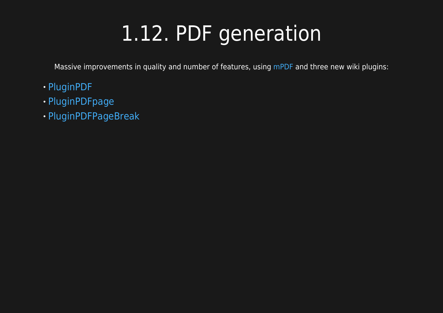# 1.12. PDF generation

Massive improvements in quality and number of features, using [mPDF](https://doc.tiki.org/mPDF) and three new wiki plugins:

- [PluginPDF](https://doc.tiki.org/PluginPDF)
- [PluginPDFpage](https://doc.tiki.org/PluginPDFpage)
- [PluginPDFPageBreak](https://doc.tiki.org/PluginPDFPageBreak)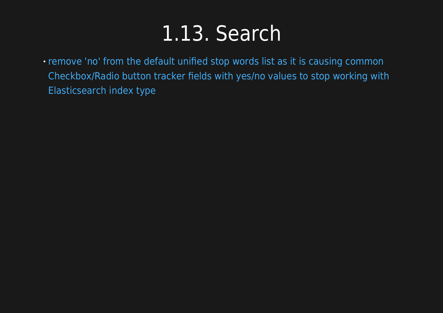#### 1.13. Search

[remove 'no' from the default unified stop words list as it is causing common](https://sourceforge.net/p/tikiwiki/code/61295/) [Checkbox/Radio button tracker fields with yes/no values to stop working with](https://sourceforge.net/p/tikiwiki/code/61295/) [Elasticsearch index type](https://sourceforge.net/p/tikiwiki/code/61295/)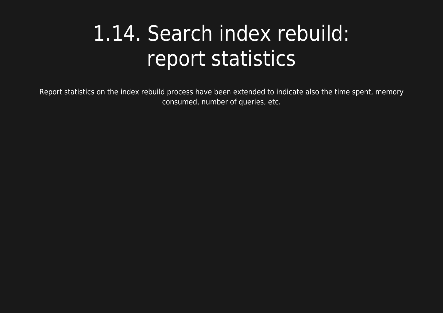## 1.14. Search index rebuild: report statistics

Report statistics on the index rebuild process have been extended to indicate also the time spent, memory consumed, number of queries, etc.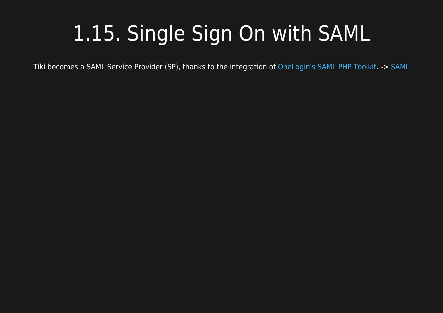# 1.15. Single Sign On with SAML

Tiki becomes a SAML Service Provider (SP), thanks to the integration of [OneLogin's SAML PHP Toolkit](https://github.com/onelogin/php-saml). -> [SAML](https://doc.tiki.org/SAML)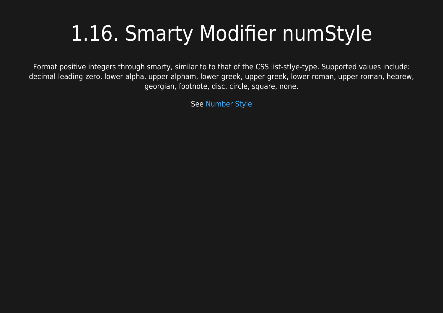# 1.16. Smarty Modifier numStyle

Format positive integers through smarty, similar to to that of the CSS list-stlye-type. Supported values include: decimal-leading-zero, lower-alpha, upper-alpham, lower-greek, upper-greek, lower-roman, upper-roman, hebrew, georgian, footnote, disc, circle, square, none.

See [Number Style](https://doc.tiki.org/Number-Style)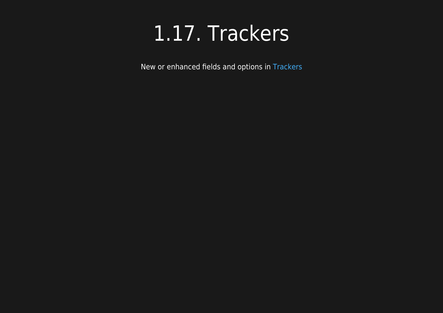#### 1.17. Trackers

New or enhanced fields and options in [Trackers](https://doc.tiki.org/Trackers)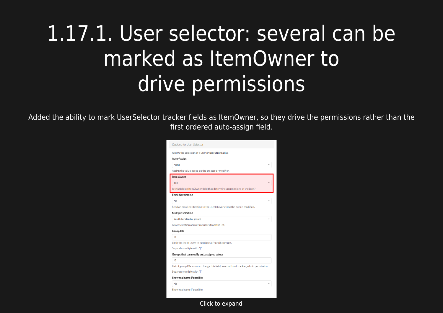# 1.17.1. User selector: several can be marked as ItemOwner to drive permissions

Added the ability to mark UserSelector tracker fields as ItemOwner, so they drive the permissions rather than the first ordered auto-assign field.

| Allows the selection of a user or users from a list.                                |
|-------------------------------------------------------------------------------------|
| Auto-Assign                                                                         |
| None                                                                                |
| Assign the value based on the creator or modifier.                                  |
| <b>Item Owner</b>                                                                   |
| Yes                                                                                 |
| Is this field an ItemOwner field that determines permissions of the item?           |
| <b>Email Notification</b>                                                           |
| <b>No</b>                                                                           |
| Send an email notification to the user(s) every time the item is modified.          |
| Multiple selection                                                                  |
| Yes (filterable by group)                                                           |
| Allow selection of multiple users from the list.                                    |
| <b>Group IDs</b>                                                                    |
| $\Omega$                                                                            |
| Limit the list of users to members of specific groups.                              |
| Separate multiple with " "                                                          |
| Groups that can modify autoassigned values                                          |
| $\Omega$                                                                            |
| List of group IDs who can change this field, even without tracker_admin permission. |
| Separate multiple with " "                                                          |
| Show real name if possible                                                          |
| <b>No</b>                                                                           |

Click to expand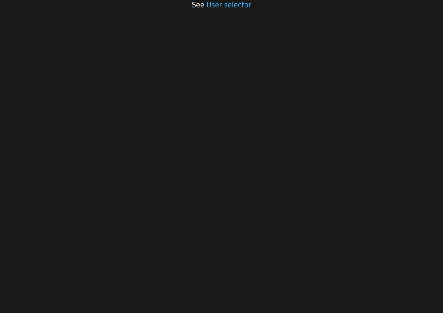See [User selector](https://doc.tiki.org/User-selector)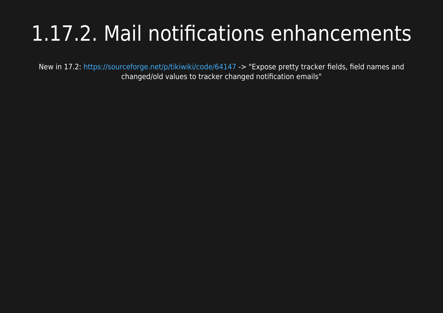# 1.17.2. Mail notifications enhancements

New in 17.2: <https://sourceforge.net/p/tikiwiki/code/64147> -> "Expose pretty tracker fields, field names and changed/old values to tracker changed notification emails"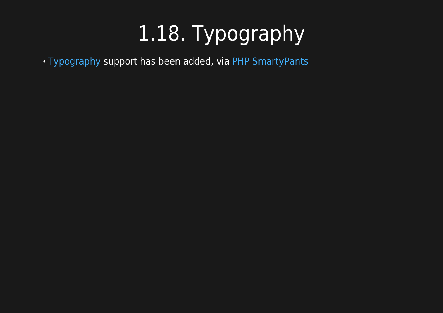# 1.18. Typography

[Typography](https://doc.tiki.org/Typography) support has been added, via [PHP SmartyPants](https://github.com/michelf/php-smartypants)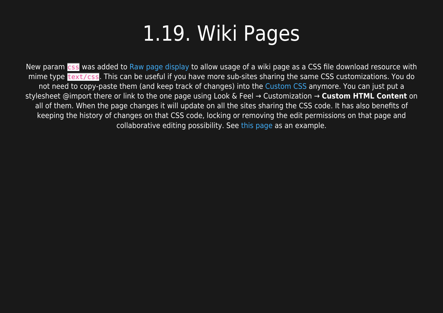#### 1.19. Wiki Pages

New param css was added to [Raw page display](https://doc.tiki.org/Raw-page-display) to allow usage of a wiki page as a CSS file download resource with mime type text/css. This can be useful if you have more sub-sites sharing the same CSS customizations. You do not need to copy-paste them (and keep track of changes) into the [Custom CSS](https://doc.tiki.org/Custom-CSS) anymore. You can just put a stylesheet @import there or link to the one page using Look & Feel → Customization → **Custom HTML Content** on all of them. When the page changes it will update on all the sites sharing the CSS code. It has also benefits of keeping the history of changes on that CSS code, locking or removing the edit permissions on that page and collaborative editing possibility. See [this page](http://themes.tiki.org/Tiki_org_family_customizations_CSS) as an example.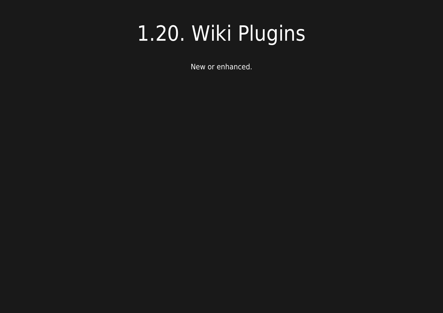## 1.20. Wiki Plugins

New or enhanced.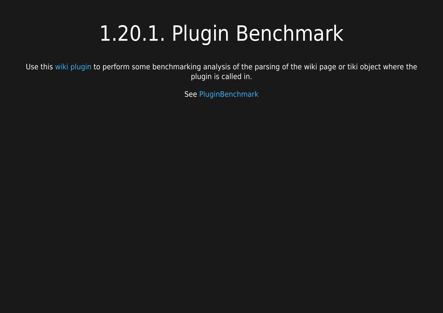## 1.20.1. Plugin Benchmark

Use this [wiki plugin](https://doc.tiki.org/wiki%20plugin) to perform some benchmarking analysis of the parsing of the wiki page or tiki object where the plugin is called in.

See [PluginBenchmark](https://doc.tiki.org/PluginBenchmark)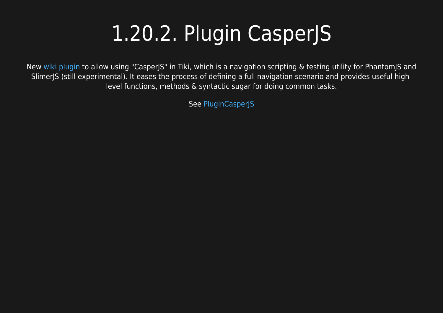# 1.20.2. Plugin CasperJS

New [wiki plugin](https://doc.tiki.org/wiki%20plugin) to allow using "CasperJS" in Tiki, which is a navigation scripting & testing utility for PhantomJS and SlimerJS (still experimental). It eases the process of defining a full navigation scenario and provides useful highlevel functions, methods & syntactic sugar for doing common tasks.

See [PluginCasperJS](https://doc.tiki.org/PluginCasperJS)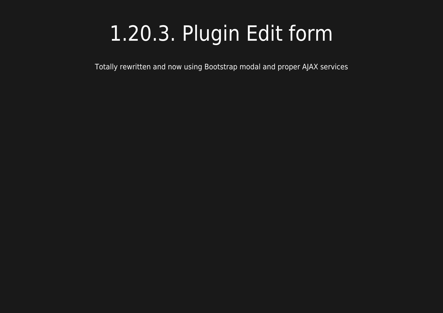## 1.20.3. Plugin Edit form

Totally rewritten and now using Bootstrap modal and proper AJAX services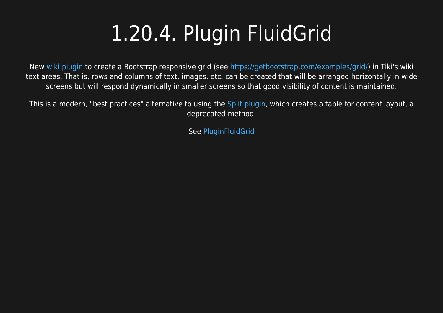# 1.20.4. Plugin FluidGrid

New [wiki plugin](https://doc.tiki.org/wiki%20plugin) to create a Bootstrap responsive grid (see [https://getbootstrap.com/examples/grid/\)](https://getbootstrap.com/examples/grid/) in Tiki's wiki text areas. That is, rows and columns of text, images, etc. can be created that will be arranged horizontally in wide screens but will respond dynamically in smaller screens so that good visibility of content is maintained.

This is a modern, "best practices" alternative to using the [Split plugin,](https://doc.tiki.org/PluginSplit) which creates a table for content layout, a deprecated method.

See [PluginFluidGrid](https://doc.tiki.org/PluginFluidgrid)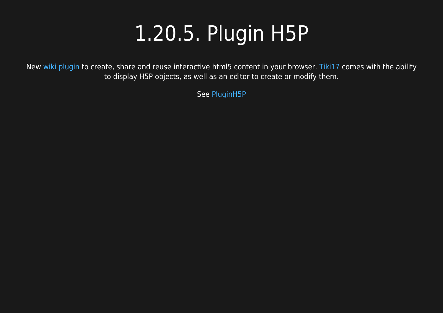## 1.20.5. Plugin H5P

New [wiki plugin](https://doc.tiki.org/wiki%20plugin) to create, share and reuse interactive html5 content in your browser. [Tiki17](https://doc.tiki.org/Tiki17) comes with the ability to display H5P objects, as well as an editor to create or modify them.

See [PluginH5P](https://doc.tiki.org/PluginH5P)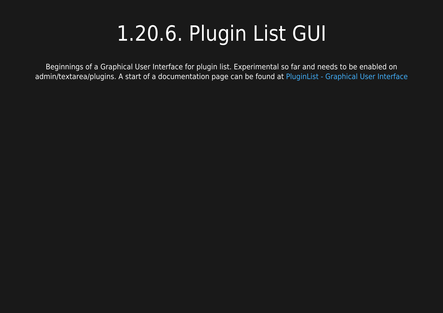# 1.20.6. Plugin List GUI

Beginnings of a Graphical User Interface for plugin list. Experimental so far and needs to be enabled on admin/textarea/plugins. A start of a documentation page can be found at [PluginList - Graphical User Interface](https://doc.tiki.org/PluginList---Graphical-User-Interface)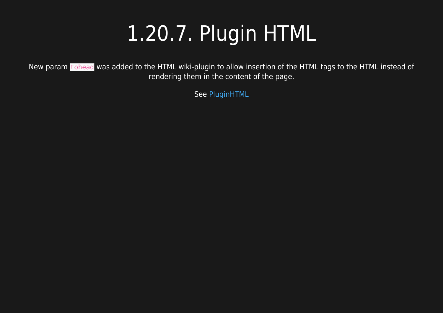# 1.20.7. Plugin HTML

New param tohead was added to the HTML wiki-plugin to allow insertion of the HTML tags to the HTML instead of rendering them in the content of the page.

See [PluginHTML](https://doc.tiki.org/PluginHTML)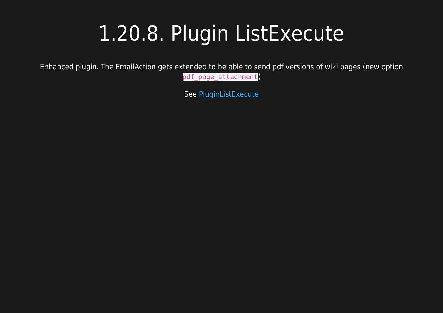## 1.20.8. Plugin ListExecute

Enhanced plugin. The EmailAction gets extended to be able to send pdf versions of wiki pages (new option

pdf\_page\_attachment)

See [PluginListExecute](https://doc.tiki.org/PluginListExecute)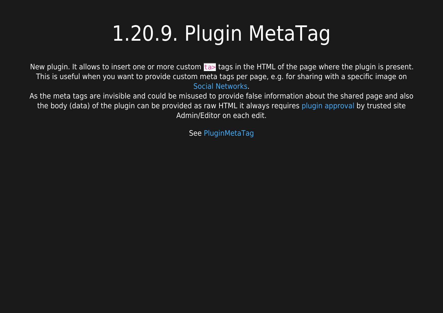# 1.20.9. Plugin MetaTag

New plugin. It allows to insert one or more custom ta> tags in the HTML of the page where the plugin is present. This is useful when you want to provide custom meta tags per page, e.g. for sharing with a specific image on [Social Networks](https://doc.tiki.org/Social-Networks).

As the meta tags are invisible and could be misused to provide false information about the shared page and also the body (data) of the plugin can be provided as raw HTML it always requires [plugin approval](https://doc.tiki.org/Plugin-Approval) by trusted site Admin/Editor on each edit.

See [PluginMetaTag](https://doc.tiki.org/PluginMetaTag)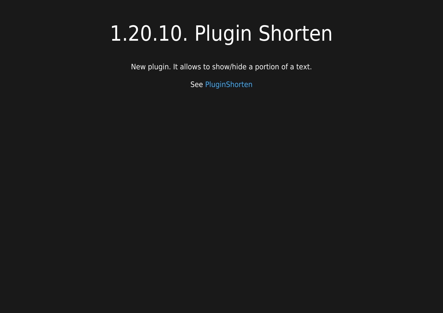## 1.20.10. Plugin Shorten

New plugin. It allows to show/hide a portion of a text.

See [PluginShorten](https://doc.tiki.org/PluginShorten)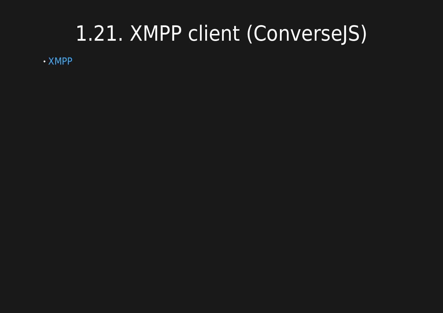#### 1.21. XMPP client (ConverseJS)

[XMPP](https://doc.tiki.org/XMPP)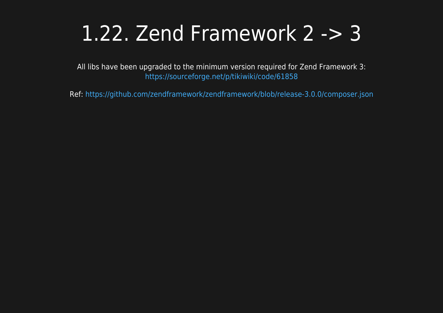#### 1.22. Zend Framework 2 -> 3

All libs have been upgraded to the minimum version required for Zend Framework 3: <https://sourceforge.net/p/tikiwiki/code/61858>

Ref:<https://github.com/zendframework/zendframework/blob/release-3.0.0/composer.json>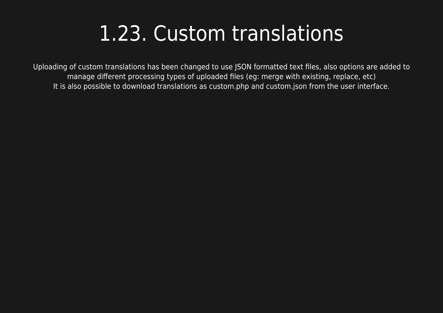#### 1.23. Custom translations

Uploading of custom translations has been changed to use JSON formatted text files, also options are added to manage different processing types of uploaded files (eg: merge with existing, replace, etc) It is also possible to download translations as custom.php and custom.json from the user interface.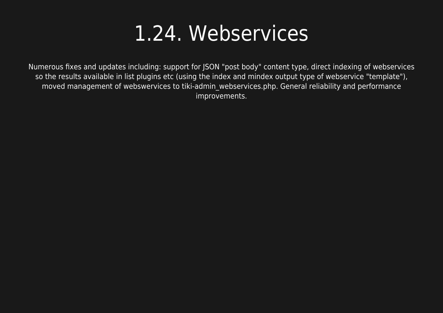#### 1.24. Webservices

Numerous fixes and updates including: support for JSON "post body" content type, direct indexing of webservices so the results available in list plugins etc (using the index and mindex output type of webservice "template"), moved management of webswervices to tiki-admin\_webservices.php. General reliability and performance improvements.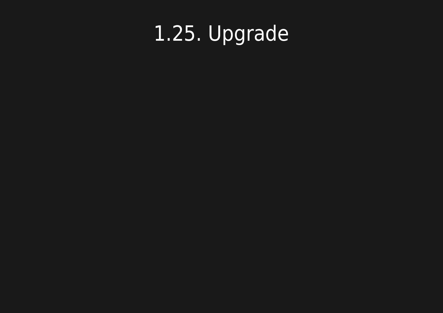# 1.25. Upgrade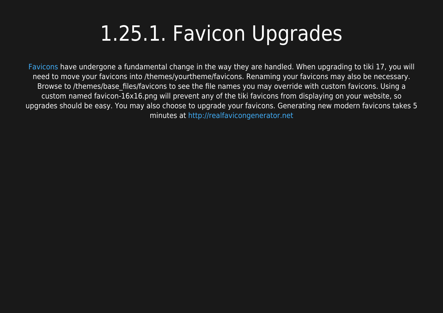# 1.25.1. Favicon Upgrades

[Favicons](https://doc.tiki.org/Favicon) have undergone a fundamental change in the way they are handled. When upgrading to tiki 17, you will need to move your favicons into /themes/yourtheme/favicons. Renaming your favicons may also be necessary. Browse to /themes/base\_files/favicons to see the file names you may override with custom favicons. Using a custom named favicon-16x16.png will prevent any of the tiki favicons from displaying on your website, so upgrades should be easy. You may also choose to upgrade your favicons. Generating new modern favicons takes 5 minutes at <http://realfavicongenerator.net>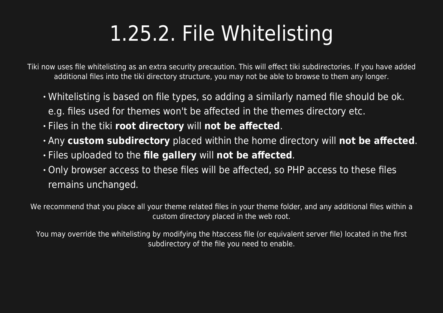# 1.25.2. File Whitelisting

Tiki now uses file whitelisting as an extra security precaution. This will effect tiki subdirectories. If you have added additional files into the tiki directory structure, you may not be able to browse to them any longer.

- Whitelisting is based on file types, so adding a similarly named file should be ok. e.g. files used for themes won't be affected in the themes directory etc.
- Files in the tiki **root directory** will **not be affected**.
- Any **custom subdirectory** placed within the home directory will **not be affected**.
- Files uploaded to the **file gallery** will **not be affected**.
- Only browser access to these files will be affected, so PHP access to these files remains unchanged.

We recommend that you place all your theme related files in your theme folder, and any additional files within a custom directory placed in the web root.

You may override the whitelisting by modifying the htaccess file (or equivalent server file) located in the first subdirectory of the file you need to enable.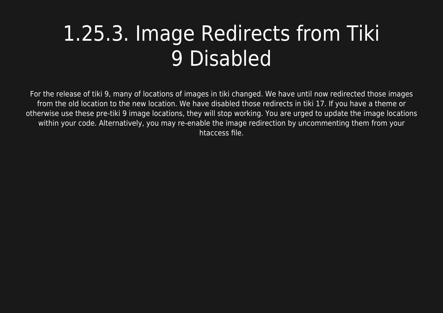## 1.25.3. Image Redirects from Tiki 9 Disabled

For the release of tiki 9, many of locations of images in tiki changed. We have until now redirected those images from the old location to the new location. We have disabled those redirects in tiki 17. If you have a theme or otherwise use these pre-tiki 9 image locations, they will stop working. You are urged to update the image locations within your code. Alternatively, you may re-enable the image redirection by uncommenting them from your htaccess file.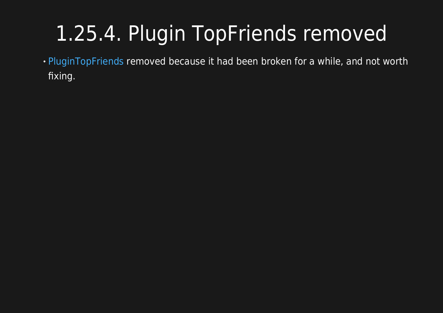# 1.25.4. Plugin TopFriends removed

[PluginTopFriends](https://doc.tiki.org/PluginTopfriends) removed because it had been broken for a while, and not worth fixing.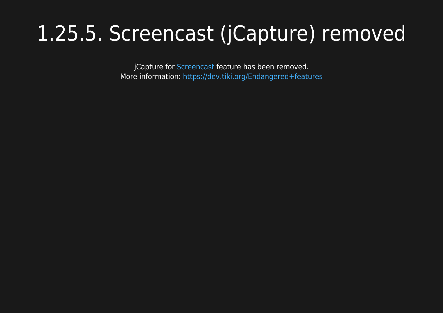## 1.25.5. Screencast (jCapture) removed

jCapture for [Screencast](https://doc.tiki.org/Screencast) feature has been removed. More information: <https://dev.tiki.org/Endangered+features>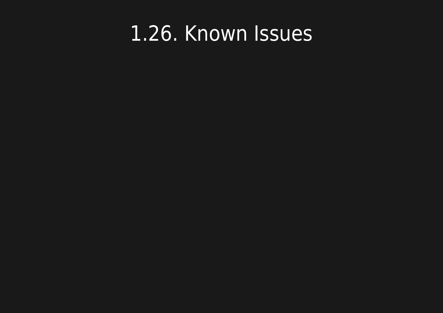#### 1.26. Known Issues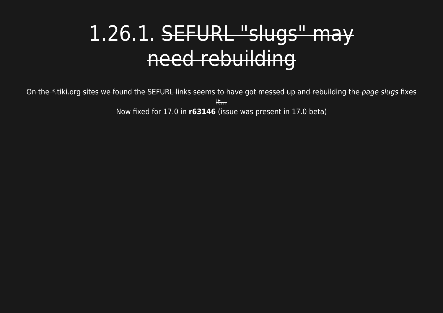## 1.26.1. SEFURL "slugs" may need rebuilding

On the \*.tiki.org sites we found the SEFURL links seems to have got messed up and rebuilding the page slugs fixes  $#...$ Now fixed for 17.0 in **r63146** (issue was present in 17.0 beta)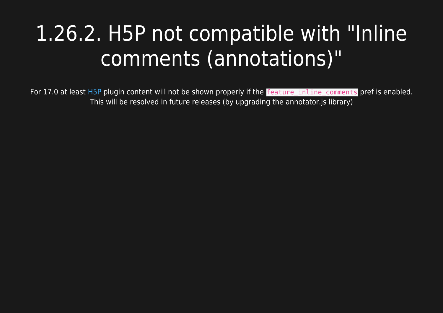# 1.26.2. H5P not compatible with "Inline comments (annotations)"

For 17.0 at least [H5P](https://doc.tiki.org/H5P) plugin content will not be shown properly if the **feature inline comments** pref is enabled. This will be resolved in future releases (by upgrading the annotator.js library)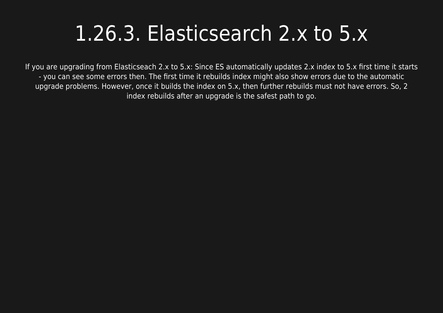#### 1.26.3. Elasticsearch 2.x to 5.x

If you are upgrading from Elasticseach 2.x to 5.x: Since ES automatically updates 2.x index to 5.x first time it starts - you can see some errors then. The first time it rebuilds index might also show errors due to the automatic upgrade problems. However, once it builds the index on 5.x, then further rebuilds must not have errors. So, 2 index rebuilds after an upgrade is the safest path to go.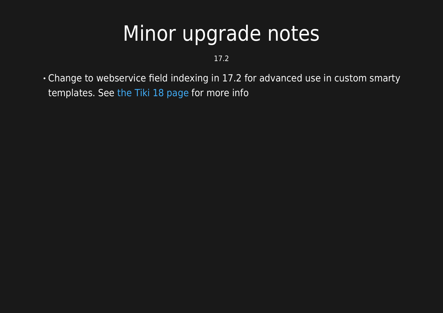#### Minor upgrade notes

17.2

Change to webservice field indexing in 17.2 for advanced use in custom smarty templates. See [the Tiki 18 page](https://doc.tiki.org/Tiki18#Minor_change_to_Webservices_Field_with_elasticsearch) for more info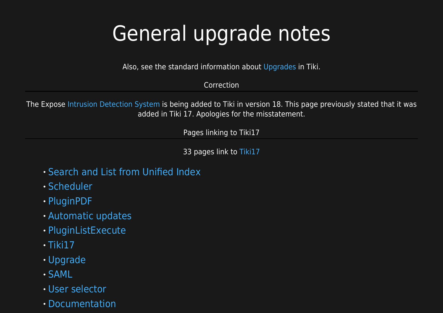# General upgrade notes

Also, see the standard information about [Upgrades](https://doc.tiki.org/Upgrade) in Tiki.

#### Correction

The Expose [Intrusion Detection System](https://doc.tiki.org/Intrusion-Detection-System) is being added to Tiki in version 18. This page previously stated that it was added in Tiki 17. Apologies for the misstatement.

Pages linking to Tiki17

33 pages link to [Tiki17](https://doc.tiki.org/Tiki17)

- [Search and List from Unified Index](https://doc.tiki.org/Search-and-List-from-Unified-Index)
- [Scheduler](https://doc.tiki.org/Scheduler)
- [PluginPDF](https://doc.tiki.org/PluginPDF)
- [Automatic updates](https://doc.tiki.org/Automatic-updates)
- [PluginListExecute](https://doc.tiki.org/PluginListExecute)
- $\cdot$  [Tiki17](https://doc.tiki.org/Tiki17)
- [Upgrade](https://doc.tiki.org/Upgrade)
- [SAML](https://doc.tiki.org/SAML)
- [User selector](https://doc.tiki.org/User-selector)
- [Documentation](https://doc.tiki.org/Documentation)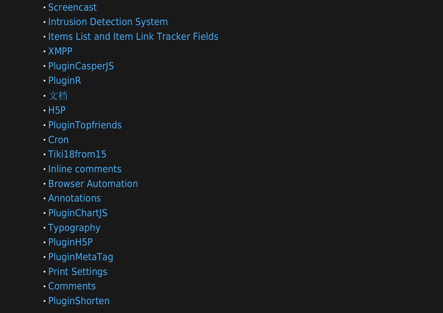- [Screencast](https://doc.tiki.org/Screencast)
- **· [Intrusion Detection System](https://doc.tiki.org/Intrusion-Detection-System)**
- $\cdot$  [Items List and Item Link Tracker Fields](https://doc.tiki.org/Items-List-and-Item-Link-Tracker-Fields)
- [XMPP](https://doc.tiki.org/XMPP)
- [PluginCasperJS](https://doc.tiki.org/PluginCasperJS)
- [PluginR](https://doc.tiki.org/PluginR)
- [文档](https://doc.tiki.org/%E6%96%87%E6%A1%A3)
- $\cdot$  [H5P](https://doc.tiki.org/H5P)
- [PluginTopfriends](https://doc.tiki.org/PluginTopfriends)
- [Cron](https://doc.tiki.org/Cron)
- [Tiki18from15](https://doc.tiki.org/Tiki18from15)
- · [Inline comments](https://doc.tiki.org/Inline-comments)
- [Browser Automation](https://doc.tiki.org/Browser-Automation)
- [Annotations](https://doc.tiki.org/Annotations)
- · [PluginChartJS](https://doc.tiki.org/PluginChartJS)
- [Typography](https://doc.tiki.org/Typography)
- [PluginH5P](https://doc.tiki.org/PluginH5P)
- [PluginMetaTag](https://doc.tiki.org/PluginMetaTag)
- [Print Settings](https://doc.tiki.org/Print-Settings)
- [Comments](https://doc.tiki.org/Comments)
- [PluginShorten](https://doc.tiki.org/PluginShorten)